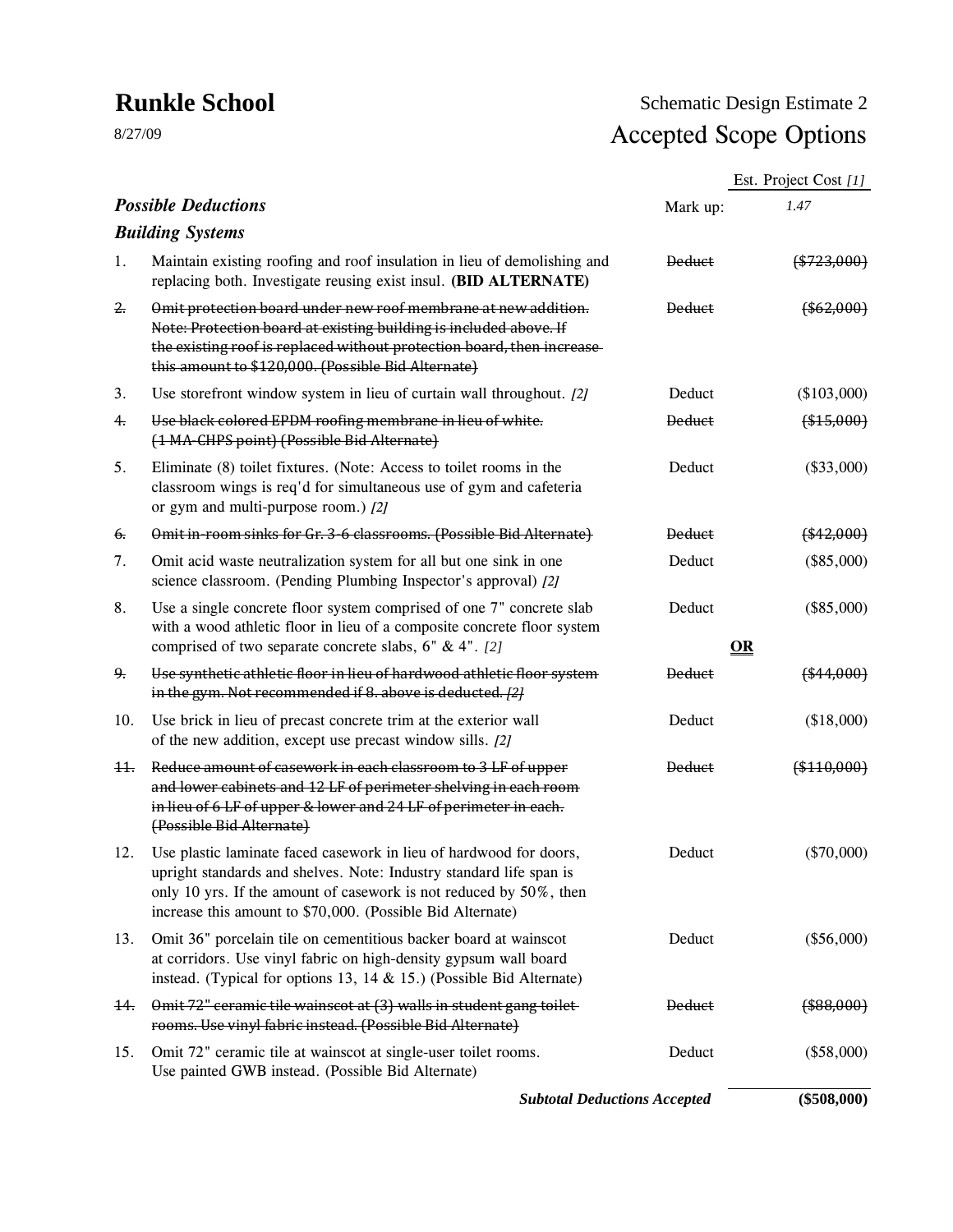# **Runkle School** Schematic Design Estimate 2 8/27/09 Accepted Scope Options

|                    |                                                                                                                                                                                                                                                                               |                     | Est. Project Cost [1] |  |  |  |
|--------------------|-------------------------------------------------------------------------------------------------------------------------------------------------------------------------------------------------------------------------------------------------------------------------------|---------------------|-----------------------|--|--|--|
|                    | <b>Possible Deductions</b>                                                                                                                                                                                                                                                    | Mark up:            | 1.47                  |  |  |  |
|                    | <b>Building Systems</b>                                                                                                                                                                                                                                                       |                     |                       |  |  |  |
| 1.                 | Maintain existing roofing and roof insulation in lieu of demolishing and<br>replacing both. Investigate reusing exist insul. (BID ALTERNATE)                                                                                                                                  | <b>Deduct</b>       | $(*723,000)$          |  |  |  |
| $\overline{z}$ .   | Omit protection board under new roof membrane at new addition.<br>Note: Protection board at existing building is included above. If<br>the existing roof is replaced without protection board, then increase<br>this amount to \$120,000. (Possible Bid Alternate)            | <b>Deduct</b>       | $(*62,000)$           |  |  |  |
| 3.                 | Use storefront window system in lieu of curtain wall throughout. [2]                                                                                                                                                                                                          | Deduct              | $(\$103,000)$         |  |  |  |
| 4.                 | Use black colored EPDM roofing membrane in lieu of white.<br>(1 MA-CHPS point) (Possible Bid Alternate)                                                                                                                                                                       | <b>Deduct</b>       | $(*15,000)$           |  |  |  |
| 5.                 | Eliminate (8) toilet fixtures. (Note: Access to toilet rooms in the<br>classroom wings is req'd for simultaneous use of gym and cafeteria<br>or gym and multi-purpose room.) [2]                                                                                              | Deduct              | $(\$33,000)$          |  |  |  |
| $\theta$ .         | Omit in-room sinks for Gr. 3-6 classrooms. (Possible Bid Alternate)                                                                                                                                                                                                           | <b>Deduct</b>       | $(*42,000)$           |  |  |  |
| 7.                 | Omit acid waste neutralization system for all but one sink in one<br>science classroom. (Pending Plumbing Inspector's approval) [2]                                                                                                                                           | Deduct              | $(\$85,000)$          |  |  |  |
| 8.                 | Use a single concrete floor system comprised of one 7" concrete slab<br>with a wood athletic floor in lieu of a composite concrete floor system<br>comprised of two separate concrete slabs, $6" & 4". [2]$                                                                   | Deduct<br><u>OR</u> | $(\$85,000)$          |  |  |  |
| 9.                 | Use synthetic athletic floor in lieu of hardwood athletic floor system<br>in the gym. Not recommended if 8. above is deducted. [2]                                                                                                                                            | <b>Deduct</b>       | $(*44,000)$           |  |  |  |
| 10.                | Use brick in lieu of precast concrete trim at the exterior wall<br>of the new addition, except use precast window sills. [2]                                                                                                                                                  | Deduct              | (\$18,000)            |  |  |  |
| $\ddagger\ddagger$ | Reduce amount of casework in each classroom to 3 LF of upper<br>and lower cabinets and 12 LF of perimeter shelving in each room<br>in lieu of 6 LF of upper & lower and 24 LF of perimeter in each.<br>(Possible Bid Alternate)                                               | <b>Deduct</b>       | $$\{410,000\}$$       |  |  |  |
| 12.                | Use plastic laminate faced casework in lieu of hardwood for doors,<br>upright standards and shelves. Note: Industry standard life span is<br>only 10 yrs. If the amount of casework is not reduced by 50%, then<br>increase this amount to \$70,000. (Possible Bid Alternate) | Deduct              | $(\$70,000)$          |  |  |  |
| 13.                | Omit 36" porcelain tile on cementitious backer board at wainscot<br>at corridors. Use vinyl fabric on high-density gypsum wall board<br>instead. (Typical for options 13, 14 $\&$ 15.) (Possible Bid Alternate)                                                               | Deduct              | $(\$56,000)$          |  |  |  |
| 14.                | Omit 72" ceramic tile wainscot at (3) walls in student gang toilet<br>rooms. Use vinyl fabric instead. (Possible Bid Alternate)                                                                                                                                               | <b>Deduct</b>       | \$88,000              |  |  |  |
| 15.                | Omit 72" ceramic tile at wainscot at single-user toilet rooms.<br>Use painted GWB instead. (Possible Bid Alternate)                                                                                                                                                           | Deduct              | $(\$58,000)$          |  |  |  |
|                    | <b>Subtotal Deductions Accepted</b>                                                                                                                                                                                                                                           |                     | $(\$508,000)$         |  |  |  |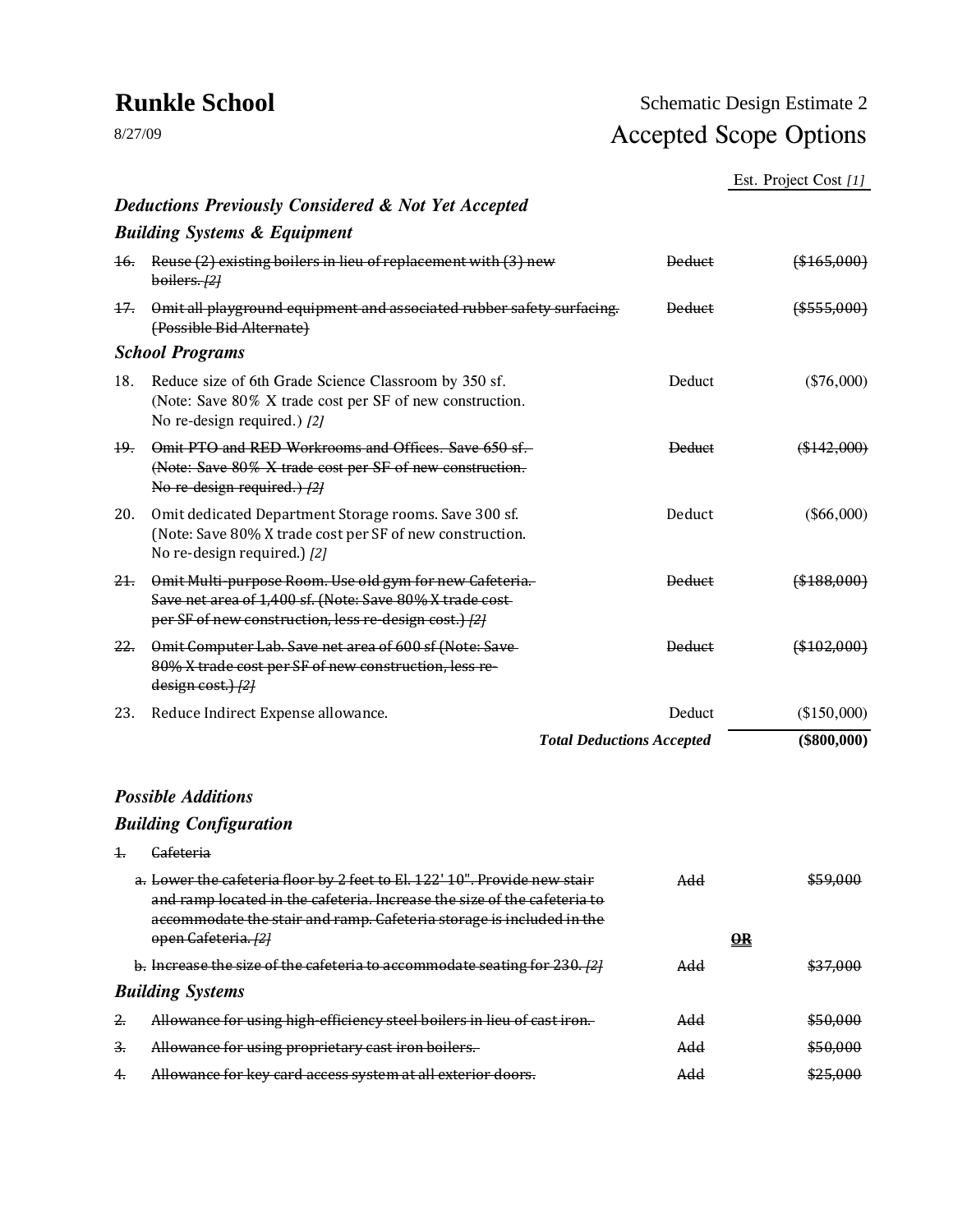# **Runkle School** Schematic Design Estimate 2 8/27/09 Accepted Scope Options

## Est. Project Cost *[1]*

|                | <b>Deductions Previously Considered &amp; Not Yet Accepted</b>                                                                                                                                                                |                         |               |
|----------------|-------------------------------------------------------------------------------------------------------------------------------------------------------------------------------------------------------------------------------|-------------------------|---------------|
|                | <b>Building Systems &amp; Equipment</b>                                                                                                                                                                                       |                         |               |
| <del>16.</del> | Reuse (2) existing boilers in lieu of replacement with (3) new<br>boilers. [2]                                                                                                                                                | <b>Deduct</b>           | \$165,000     |
| 17.            | Omit all playground equipment and associated rubber safety surfacing.<br>(Possible Bid Alternate)                                                                                                                             | <b>Deduct</b>           | $(*5555,000)$ |
|                | <b>School Programs</b>                                                                                                                                                                                                        |                         |               |
| 18.            | Reduce size of 6th Grade Science Classroom by 350 sf.<br>(Note: Save 80% X trade cost per SF of new construction.<br>No re-design required.) [2]                                                                              | Deduct                  | $(\$76,000)$  |
| 19.            | Omit PTO and RED Workrooms and Offices. Save 650 sf.<br>(Note: Save 80% X trade cost per SF of new construction.<br>No re-design required.) $[2]$                                                                             | <b>Deduct</b>           | $(*142,000)$  |
| 20.            | Omit dedicated Department Storage rooms. Save 300 sf.<br>(Note: Save 80% X trade cost per SF of new construction.<br>No re-design required.) [2]                                                                              | Deduct                  | $(\$66,000)$  |
| 21.            | Omit Multi-purpose Room. Use old gym for new Cafeteria.<br>Save net area of 1,400 sf. (Note: Save 80% X trade cost-<br>per SF of new construction, less re-design cost.) [2]                                                  | <b>Deduct</b>           | \$188,000     |
| 22.            | Omit Computer Lab. Save net area of 600 sf (Note: Save-<br>80% X trade cost per SF of new construction, less re-<br>$\frac{design cost.}{121}$                                                                                | <b>Deduct</b>           | ${$402,000}$  |
| 23.            | Reduce Indirect Expense allowance.                                                                                                                                                                                            | Deduct                  | (\$150,000)   |
|                | <b>Total Deductions Accepted</b>                                                                                                                                                                                              |                         | $(\$800,000)$ |
|                | <b>Possible Additions</b>                                                                                                                                                                                                     |                         |               |
|                | <b>Building Configuration</b>                                                                                                                                                                                                 |                         |               |
| $\ddagger$     | Cafeteria                                                                                                                                                                                                                     |                         |               |
|                | a. Lower the cafeteria floor by 2 feet to El. 122' 10". Provide new stair<br>and ramp located in the cafeteria. Increase the size of the cafeteria to<br>accommodate the stair and ramp. Cafeteria storage is included in the | Add                     | \$59,000      |
|                | open Cafeteria. [2]                                                                                                                                                                                                           | $\overline{\mathbf{R}}$ |               |
|                | b. Increase the size of the cafeteria to accommodate seating for 230. [2]                                                                                                                                                     | Add                     | \$37,000      |
|                | <b>Building Systems</b>                                                                                                                                                                                                       |                         |               |
| 2.             | Allowance for using high-efficiency steel boilers in lieu of cast iron.                                                                                                                                                       | Add                     | \$50,000      |
| $\frac{3}{2}$  | Allowance for using proprietary cast iron boilers.                                                                                                                                                                            | Add                     | \$50,000      |
| 4.             | Allowance for key card access system at all exterior doors.                                                                                                                                                                   | Add                     | \$25,000      |